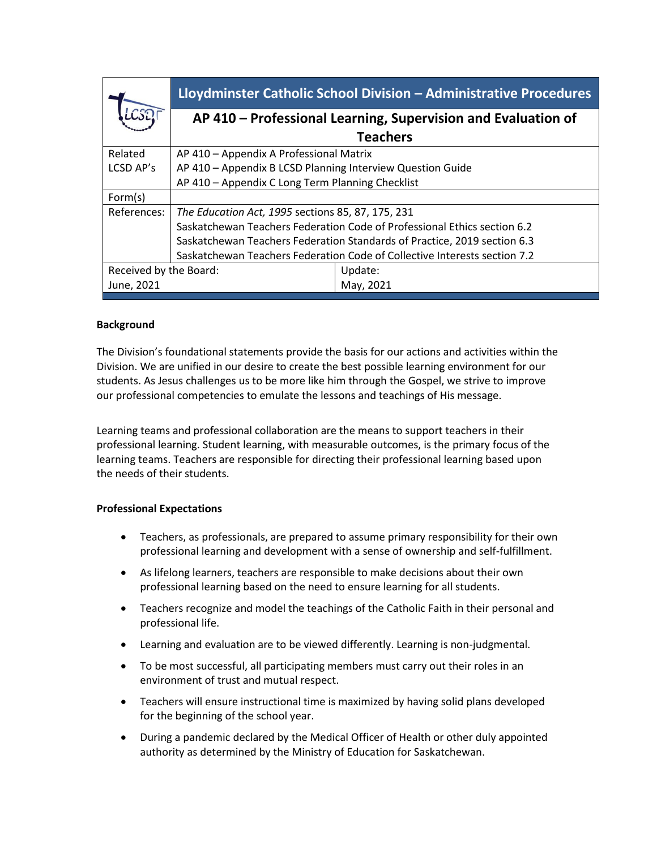| AP 410 – Professional Learning, Supervision and Evaluation of             |  |  |
|---------------------------------------------------------------------------|--|--|
|                                                                           |  |  |
| AP 410 - Appendix A Professional Matrix                                   |  |  |
| AP 410 - Appendix B LCSD Planning Interview Question Guide                |  |  |
| AP 410 - Appendix C Long Term Planning Checklist                          |  |  |
|                                                                           |  |  |
| The Education Act, 1995 sections 85, 87, 175, 231                         |  |  |
| Saskatchewan Teachers Federation Code of Professional Ethics section 6.2  |  |  |
| Saskatchewan Teachers Federation Standards of Practice, 2019 section 6.3  |  |  |
| Saskatchewan Teachers Federation Code of Collective Interests section 7.2 |  |  |
|                                                                           |  |  |
|                                                                           |  |  |
|                                                                           |  |  |

#### **Background**

The Division's foundational statements provide the basis for our actions and activities within the Division. We are unified in our desire to create the best possible learning environment for our students. As Jesus challenges us to be more like him through the Gospel, we strive to improve our professional competencies to emulate the lessons and teachings of His message.

Learning teams and professional collaboration are the means to support teachers in their professional learning. Student learning, with measurable outcomes, is the primary focus of the learning teams. Teachers are responsible for directing their professional learning based upon the needs of their students.

#### **Professional Expectations**

- Teachers, as professionals, are prepared to assume primary responsibility for their own professional learning and development with a sense of ownership and self-fulfillment.
- As lifelong learners, teachers are responsible to make decisions about their own professional learning based on the need to ensure learning for all students.
- Teachers recognize and model the teachings of the Catholic Faith in their personal and professional life.
- Learning and evaluation are to be viewed differently. Learning is non-judgmental.
- To be most successful, all participating members must carry out their roles in an environment of trust and mutual respect.
- Teachers will ensure instructional time is maximized by having solid plans developed for the beginning of the school year.
- During a pandemic declared by the Medical Officer of Health or other duly appointed authority as determined by the Ministry of Education for Saskatchewan.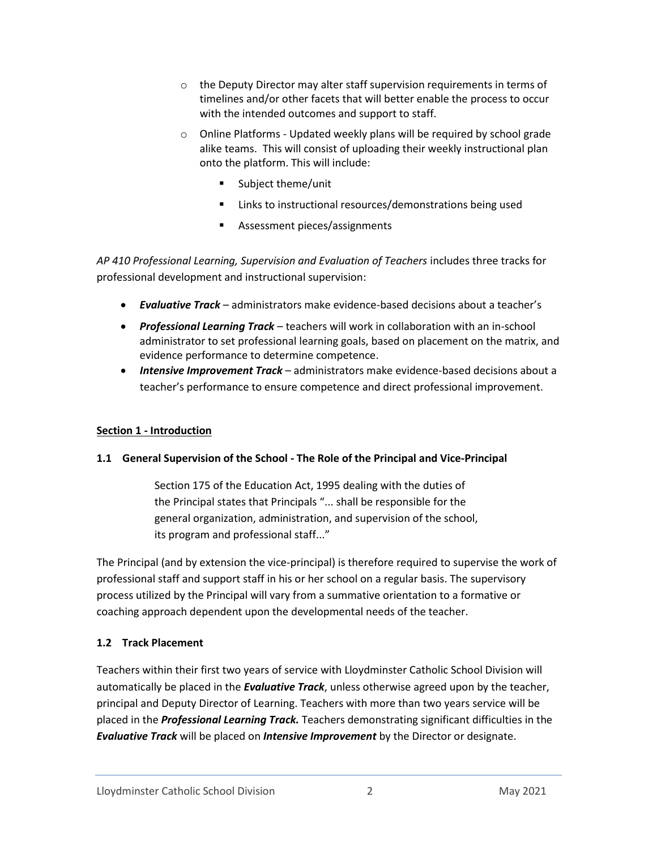- $\circ$  the Deputy Director may alter staff supervision requirements in terms of timelines and/or other facets that will better enable the process to occur with the intended outcomes and support to staff.
- o Online Platforms Updated weekly plans will be required by school grade alike teams. This will consist of uploading their weekly instructional plan onto the platform. This will include:
	- Subject theme/unit
	- Links to instructional resources/demonstrations being used
	- Assessment pieces/assignments

*AP 410 Professional Learning, Supervision and Evaluation of Teachers* includes three tracks for professional development and instructional supervision:

- *Evaluative Track* administrators make evidence-based decisions about a teacher's
- *Professional Learning Track* teachers will work in collaboration with an in-school administrator to set professional learning goals, based on placement on the matrix, and evidence performance to determine competence.
- *Intensive Improvement Track* administrators make evidence-based decisions about a teacher's performance to ensure competence and direct professional improvement.

## **Section 1 - Introduction**

## **1.1 General Supervision of the School - The Role of the Principal and Vice-Principal**

Section 175 of the Education Act, 1995 dealing with the duties of the Principal states that Principals "... shall be responsible for the general organization, administration, and supervision of the school, its program and professional staff..."

The Principal (and by extension the vice-principal) is therefore required to supervise the work of professional staff and support staff in his or her school on a regular basis. The supervisory process utilized by the Principal will vary from a summative orientation to a formative or coaching approach dependent upon the developmental needs of the teacher.

# **1.2 Track Placement**

Teachers within their first two years of service with Lloydminster Catholic School Division will automatically be placed in the *Evaluative Track*, unless otherwise agreed upon by the teacher, principal and Deputy Director of Learning. Teachers with more than two years service will be placed in the *Professional Learning Track.* Teachers demonstrating significant difficulties in the *Evaluative Track* will be placed on *Intensive Improvement* by the Director or designate.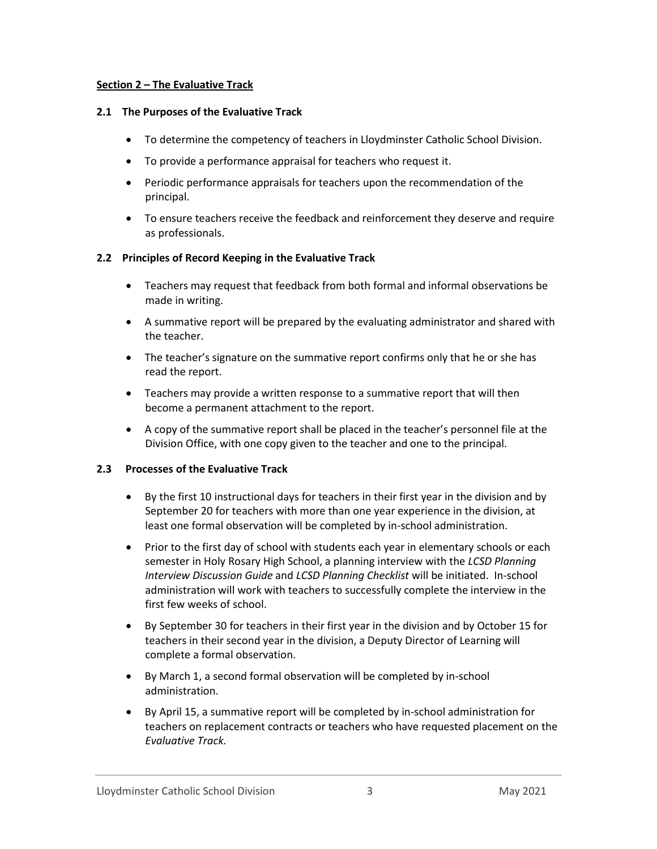#### **Section 2 – The Evaluative Track**

#### **2.1 The Purposes of the Evaluative Track**

- To determine the competency of teachers in Lloydminster Catholic School Division.
- To provide a performance appraisal for teachers who request it.
- Periodic performance appraisals for teachers upon the recommendation of the principal.
- To ensure teachers receive the feedback and reinforcement they deserve and require as professionals.

## **2.2 Principles of Record Keeping in the Evaluative Track**

- Teachers may request that feedback from both formal and informal observations be made in writing.
- A summative report will be prepared by the evaluating administrator and shared with the teacher.
- The teacher's signature on the summative report confirms only that he or she has read the report.
- Teachers may provide a written response to a summative report that will then become a permanent attachment to the report.
- A copy of the summative report shall be placed in the teacher's personnel file at the Division Office, with one copy given to the teacher and one to the principal.

## **2.3 Processes of the Evaluative Track**

- By the first 10 instructional days for teachers in their first year in the division and by September 20 for teachers with more than one year experience in the division, at least one formal observation will be completed by in-school administration.
- Prior to the first day of school with students each year in elementary schools or each semester in Holy Rosary High School, a planning interview with the *LCSD Planning Interview Discussion Guide* and *LCSD Planning Checklist* will be initiated. In-school administration will work with teachers to successfully complete the interview in the first few weeks of school.
- By September 30 for teachers in their first year in the division and by October 15 for teachers in their second year in the division, a Deputy Director of Learning will complete a formal observation.
- By March 1, a second formal observation will be completed by in-school administration.
- By April 15, a summative report will be completed by in-school administration for teachers on replacement contracts or teachers who have requested placement on the *Evaluative Track.*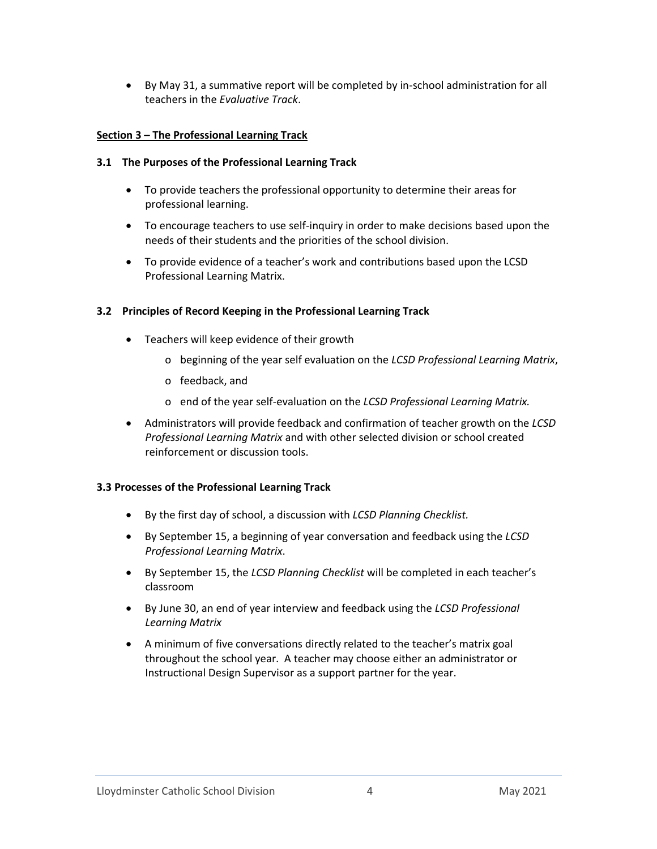• By May 31, a summative report will be completed by in-school administration for all teachers in the *Evaluative Track*.

## **Section 3 – The Professional Learning Track**

## **3.1 The Purposes of the Professional Learning Track**

- To provide teachers the professional opportunity to determine their areas for professional learning.
- To encourage teachers to use self-inquiry in order to make decisions based upon the needs of their students and the priorities of the school division.
- To provide evidence of a teacher's work and contributions based upon the LCSD Professional Learning Matrix.

## **3.2 Principles of Record Keeping in the Professional Learning Track**

- Teachers will keep evidence of their growth
	- o beginning of the year self evaluation on the *LCSD Professional Learning Matrix*,
	- o feedback, and
	- o end of the year self-evaluation on the *LCSD Professional Learning Matrix.*
- Administrators will provide feedback and confirmation of teacher growth on the *LCSD Professional Learning Matrix* and with other selected division or school created reinforcement or discussion tools.

## **3.3 Processes of the Professional Learning Track**

- By the first day of school, a discussion with *LCSD Planning Checklist.*
- By September 15, a beginning of year conversation and feedback using the *LCSD Professional Learning Matrix*.
- By September 15, the *LCSD Planning Checklist* will be completed in each teacher's classroom
- By June 30, an end of year interview and feedback using the *LCSD Professional Learning Matrix*
- A minimum of five conversations directly related to the teacher's matrix goal throughout the school year. A teacher may choose either an administrator or Instructional Design Supervisor as a support partner for the year.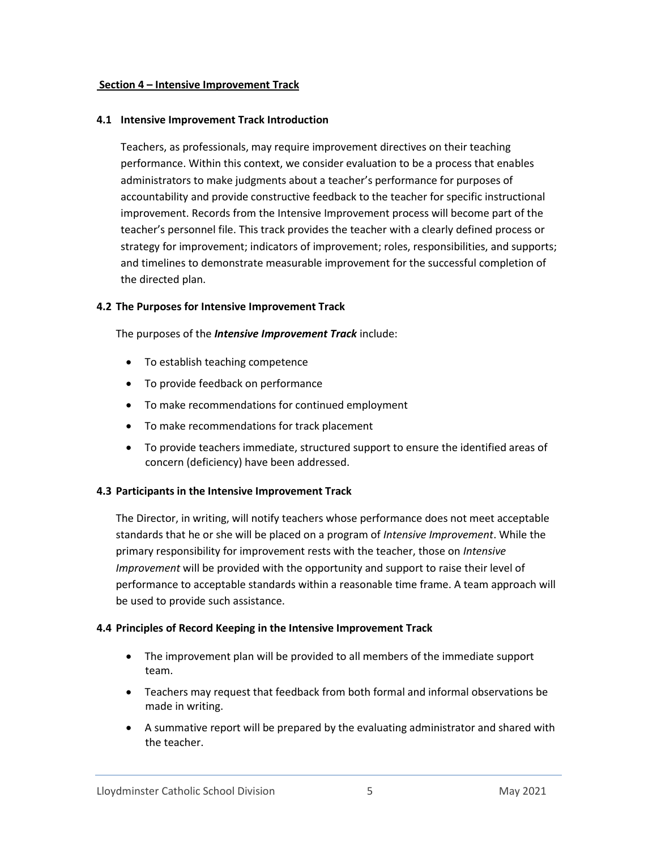#### **Section 4 – Intensive Improvement Track**

#### **4.1 Intensive Improvement Track Introduction**

Teachers, as professionals, may require improvement directives on their teaching performance. Within this context, we consider evaluation to be a process that enables administrators to make judgments about a teacher's performance for purposes of accountability and provide constructive feedback to the teacher for specific instructional improvement. Records from the Intensive Improvement process will become part of the teacher's personnel file. This track provides the teacher with a clearly defined process or strategy for improvement; indicators of improvement; roles, responsibilities, and supports; and timelines to demonstrate measurable improvement for the successful completion of the directed plan.

#### **4.2 The Purposes for Intensive Improvement Track**

The purposes of the *Intensive Improvement Track* include:

- To establish teaching competence
- To provide feedback on performance
- To make recommendations for continued employment
- To make recommendations for track placement
- To provide teachers immediate, structured support to ensure the identified areas of concern (deficiency) have been addressed.

## **4.3 Participants in the Intensive Improvement Track**

The Director, in writing, will notify teachers whose performance does not meet acceptable standards that he or she will be placed on a program of *Intensive Improvement*. While the primary responsibility for improvement rests with the teacher, those on *Intensive Improvement* will be provided with the opportunity and support to raise their level of performance to acceptable standards within a reasonable time frame. A team approach will be used to provide such assistance.

## **4.4 Principles of Record Keeping in the Intensive Improvement Track**

- The improvement plan will be provided to all members of the immediate support team.
- Teachers may request that feedback from both formal and informal observations be made in writing.
- A summative report will be prepared by the evaluating administrator and shared with the teacher.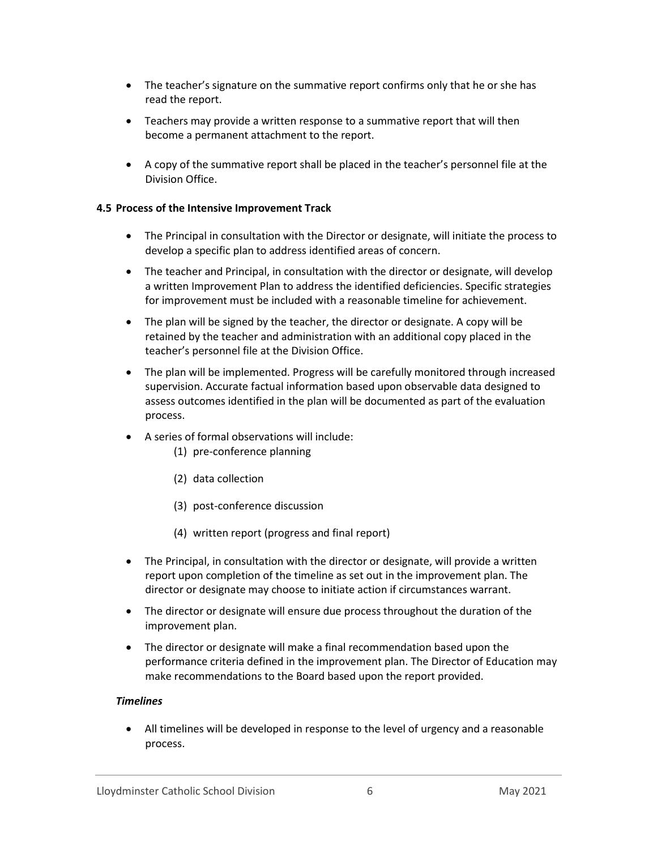- The teacher's signature on the summative report confirms only that he or she has read the report.
- Teachers may provide a written response to a summative report that will then become a permanent attachment to the report.
- A copy of the summative report shall be placed in the teacher's personnel file at the Division Office.

#### **4.5 Process of the Intensive Improvement Track**

- The Principal in consultation with the Director or designate, will initiate the process to develop a specific plan to address identified areas of concern.
- The teacher and Principal, in consultation with the director or designate, will develop a written Improvement Plan to address the identified deficiencies. Specific strategies for improvement must be included with a reasonable timeline for achievement.
- The plan will be signed by the teacher, the director or designate. A copy will be retained by the teacher and administration with an additional copy placed in the teacher's personnel file at the Division Office.
- The plan will be implemented. Progress will be carefully monitored through increased supervision. Accurate factual information based upon observable data designed to assess outcomes identified in the plan will be documented as part of the evaluation process.
- A series of formal observations will include:
	- (1) pre-conference planning
	- (2) data collection
	- (3) post-conference discussion
	- (4) written report (progress and final report)
- The Principal, in consultation with the director or designate, will provide a written report upon completion of the timeline as set out in the improvement plan. The director or designate may choose to initiate action if circumstances warrant.
- The director or designate will ensure due process throughout the duration of the improvement plan.
- The director or designate will make a final recommendation based upon the performance criteria defined in the improvement plan. The Director of Education may make recommendations to the Board based upon the report provided.

## *Timelines*

• All timelines will be developed in response to the level of urgency and a reasonable process.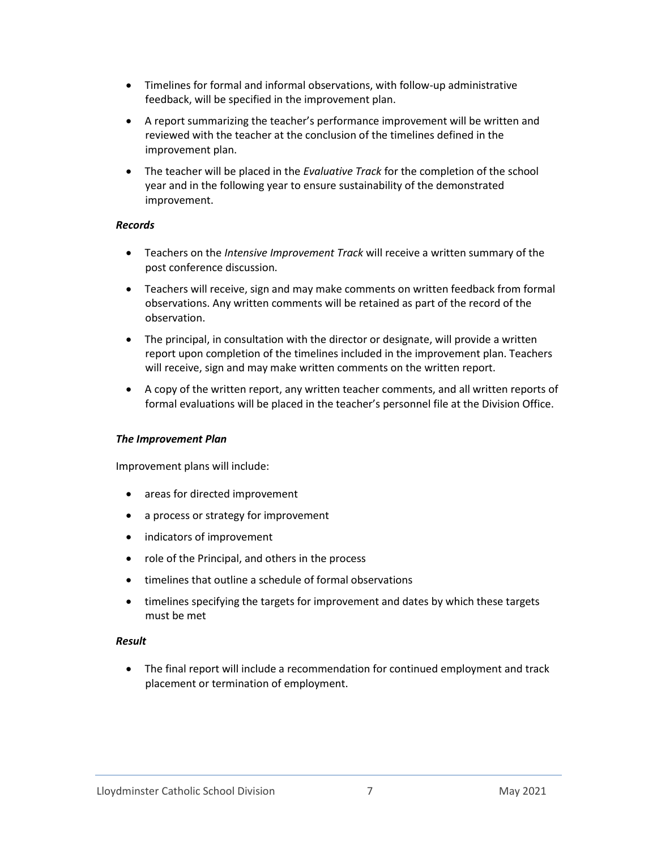- Timelines for formal and informal observations, with follow-up administrative feedback, will be specified in the improvement plan.
- A report summarizing the teacher's performance improvement will be written and reviewed with the teacher at the conclusion of the timelines defined in the improvement plan.
- The teacher will be placed in the *Evaluative Track* for the completion of the school year and in the following year to ensure sustainability of the demonstrated improvement.

#### *Records*

- Teachers on the *Intensive Improvement Track* will receive a written summary of the post conference discussion.
- Teachers will receive, sign and may make comments on written feedback from formal observations. Any written comments will be retained as part of the record of the observation.
- The principal, in consultation with the director or designate, will provide a written report upon completion of the timelines included in the improvement plan. Teachers will receive, sign and may make written comments on the written report.
- A copy of the written report, any written teacher comments, and all written reports of formal evaluations will be placed in the teacher's personnel file at the Division Office.

## *The Improvement Plan*

Improvement plans will include:

- areas for directed improvement
- a process or strategy for improvement
- indicators of improvement
- role of the Principal, and others in the process
- timelines that outline a schedule of formal observations
- timelines specifying the targets for improvement and dates by which these targets must be met

#### *Result*

• The final report will include a recommendation for continued employment and track placement or termination of employment.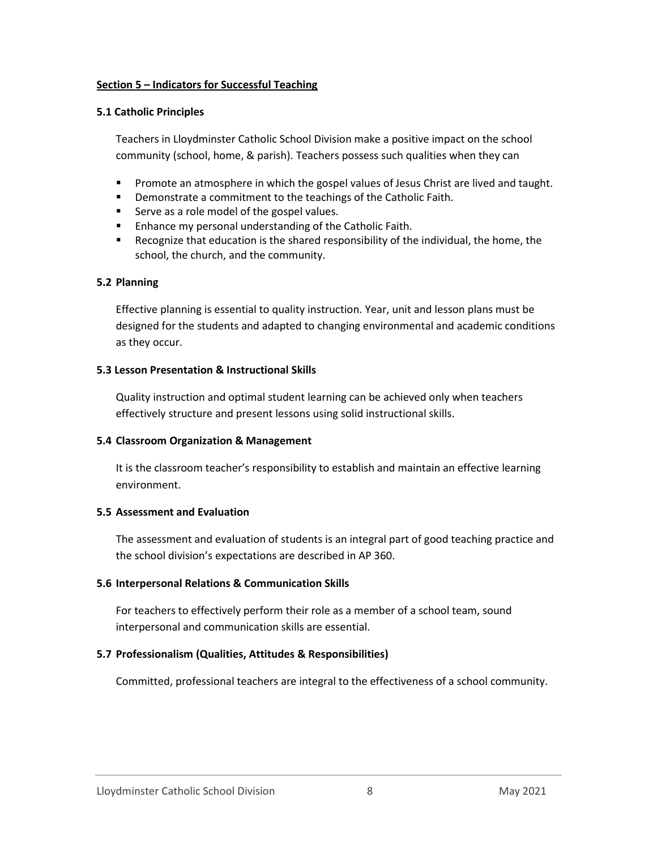#### **Section 5 – Indicators for Successful Teaching**

#### **5.1 Catholic Principles**

Teachers in Lloydminster Catholic School Division make a positive impact on the school community (school, home, & parish). Teachers possess such qualities when they can

- **•** Promote an atmosphere in which the gospel values of Jesus Christ are lived and taught.
- Demonstrate a commitment to the teachings of the Catholic Faith.
- Serve as a role model of the gospel values.
- Enhance my personal understanding of the Catholic Faith.
- Recognize that education is the shared responsibility of the individual, the home, the school, the church, and the community.

## **5.2 Planning**

Effective planning is essential to quality instruction. Year, unit and lesson plans must be designed for the students and adapted to changing environmental and academic conditions as they occur.

#### **5.3 Lesson Presentation & Instructional Skills**

Quality instruction and optimal student learning can be achieved only when teachers effectively structure and present lessons using solid instructional skills.

## **5.4 Classroom Organization & Management**

It is the classroom teacher's responsibility to establish and maintain an effective learning environment.

## **5.5 Assessment and Evaluation**

The assessment and evaluation of students is an integral part of good teaching practice and the school division's expectations are described in AP 360.

## **5.6 Interpersonal Relations & Communication Skills**

For teachers to effectively perform their role as a member of a school team, sound interpersonal and communication skills are essential.

## **5.7 Professionalism (Qualities, Attitudes & Responsibilities)**

Committed, professional teachers are integral to the effectiveness of a school community.